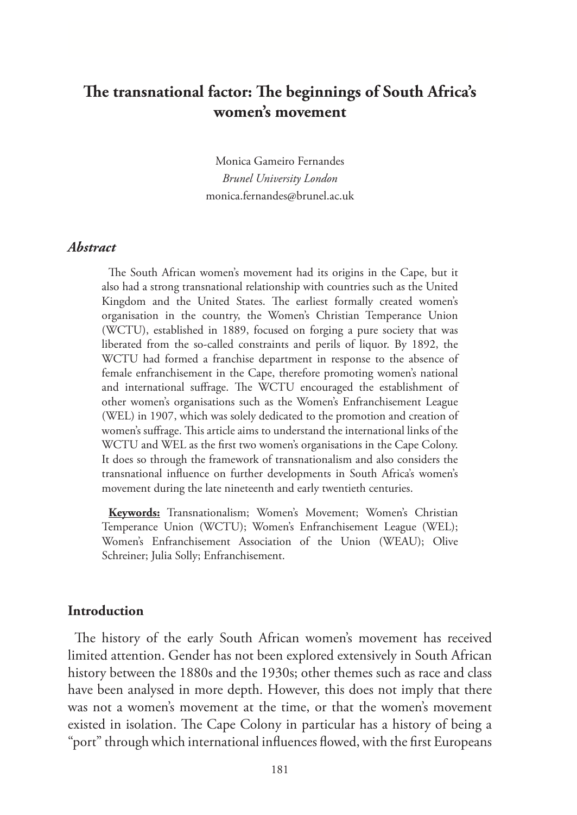# **The transnational factor: The beginnings of South Africa's women's movement**

Monica Gameiro Fernandes *Brunel University London* monica.fernandes@brunel.ac.uk

## *Abstract*

The South African women's movement had its origins in the Cape, but it also had a strong transnational relationship with countries such as the United Kingdom and the United States. The earliest formally created women's organisation in the country, the Women's Christian Temperance Union (WCTU), established in 1889, focused on forging a pure society that was liberated from the so-called constraints and perils of liquor. By 1892, the WCTU had formed a franchise department in response to the absence of female enfranchisement in the Cape, therefore promoting women's national and international suffrage. The WCTU encouraged the establishment of other women's organisations such as the Women's Enfranchisement League (WEL) in 1907, which was solely dedicated to the promotion and creation of women's suffrage. This article aims to understand the international links of the WCTU and WEL as the first two women's organisations in the Cape Colony. It does so through the framework of transnationalism and also considers the transnational influence on further developments in South Africa's women's movement during the late nineteenth and early twentieth centuries.

**Keywords:** Transnationalism; Women's Movement; Women's Christian Temperance Union (WCTU); Women's Enfranchisement League (WEL); Women's Enfranchisement Association of the Union (WEAU); Olive Schreiner; Julia Solly; Enfranchisement.

# **Introduction**

The history of the early South African women's movement has received limited attention. Gender has not been explored extensively in South African history between the 1880s and the 1930s; other themes such as race and class have been analysed in more depth. However, this does not imply that there was not a women's movement at the time, or that the women's movement existed in isolation. The Cape Colony in particular has a history of being a "port" through which international influences flowed, with the first Europeans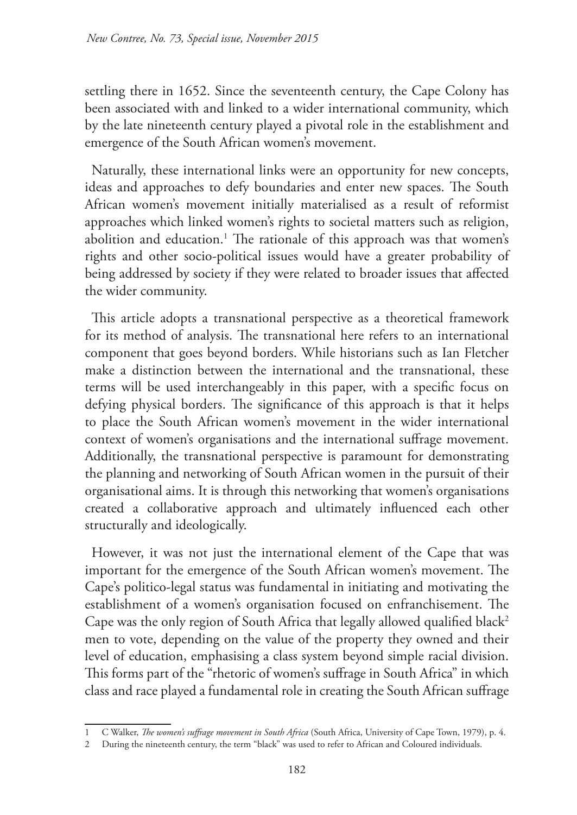settling there in 1652. Since the seventeenth century, the Cape Colony has been associated with and linked to a wider international community, which by the late nineteenth century played a pivotal role in the establishment and emergence of the South African women's movement.

Naturally, these international links were an opportunity for new concepts, ideas and approaches to defy boundaries and enter new spaces. The South African women's movement initially materialised as a result of reformist approaches which linked women's rights to societal matters such as religion, abolition and education.1 The rationale of this approach was that women's rights and other socio-political issues would have a greater probability of being addressed by society if they were related to broader issues that affected the wider community.

This article adopts a transnational perspective as a theoretical framework for its method of analysis. The transnational here refers to an international component that goes beyond borders. While historians such as Ian Fletcher make a distinction between the international and the transnational, these terms will be used interchangeably in this paper, with a specific focus on defying physical borders. The significance of this approach is that it helps to place the South African women's movement in the wider international context of women's organisations and the international suffrage movement. Additionally, the transnational perspective is paramount for demonstrating the planning and networking of South African women in the pursuit of their organisational aims. It is through this networking that women's organisations created a collaborative approach and ultimately influenced each other structurally and ideologically.

However, it was not just the international element of the Cape that was important for the emergence of the South African women's movement. The Cape's politico-legal status was fundamental in initiating and motivating the establishment of a women's organisation focused on enfranchisement. The Cape was the only region of South Africa that legally allowed qualified black<sup>2</sup> men to vote, depending on the value of the property they owned and their level of education, emphasising a class system beyond simple racial division. This forms part of the "rhetoric of women's suffrage in South Africa" in which class and race played a fundamental role in creating the South African suffrage

<sup>1</sup> C Walker, *The women's suffrage movement in South Africa* (South Africa, University of Cape Town, 1979), p. 4.

<sup>2</sup> During the nineteenth century, the term "black" was used to refer to African and Coloured individuals.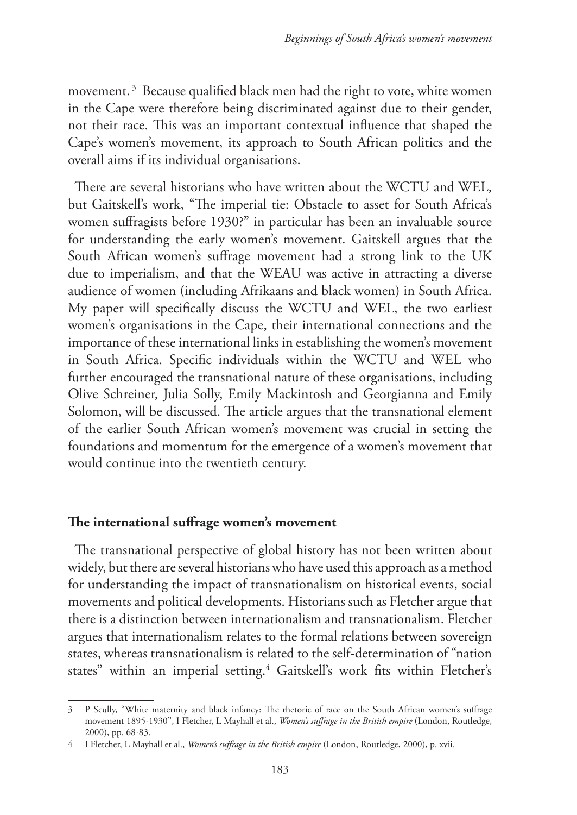movement.<sup>3</sup> Because qualified black men had the right to vote, white women in the Cape were therefore being discriminated against due to their gender, not their race. This was an important contextual influence that shaped the Cape's women's movement, its approach to South African politics and the overall aims if its individual organisations.

There are several historians who have written about the WCTU and WEL, but Gaitskell's work, "The imperial tie: Obstacle to asset for South Africa's women suffragists before 1930?" in particular has been an invaluable source for understanding the early women's movement. Gaitskell argues that the South African women's suffrage movement had a strong link to the UK due to imperialism, and that the WEAU was active in attracting a diverse audience of women (including Afrikaans and black women) in South Africa. My paper will specifically discuss the WCTU and WEL, the two earliest women's organisations in the Cape, their international connections and the importance of these international links in establishing the women's movement in South Africa. Specific individuals within the WCTU and WEL who further encouraged the transnational nature of these organisations, including Olive Schreiner, Julia Solly, Emily Mackintosh and Georgianna and Emily Solomon, will be discussed. The article argues that the transnational element of the earlier South African women's movement was crucial in setting the foundations and momentum for the emergence of a women's movement that would continue into the twentieth century.

## **The international suffrage women's movement**

The transnational perspective of global history has not been written about widely, but there are several historians who have used this approach as a method for understanding the impact of transnationalism on historical events, social movements and political developments. Historians such as Fletcher argue that there is a distinction between internationalism and transnationalism. Fletcher argues that internationalism relates to the formal relations between sovereign states, whereas transnationalism is related to the self-determination of "nation states" within an imperial setting.<sup>4</sup> Gaitskell's work fits within Fletcher's

<sup>3</sup> P Scully, "White maternity and black infancy: The rhetoric of race on the South African women's suffrage movement 1895-1930", I Fletcher, L Mayhall et al., *Women's suffrage in the British empire* (London, Routledge, 2000), pp. 68-83.

<sup>4</sup> I Fletcher, L Mayhall et al., *Women's suffrage in the British empire* (London, Routledge, 2000), p. xvii.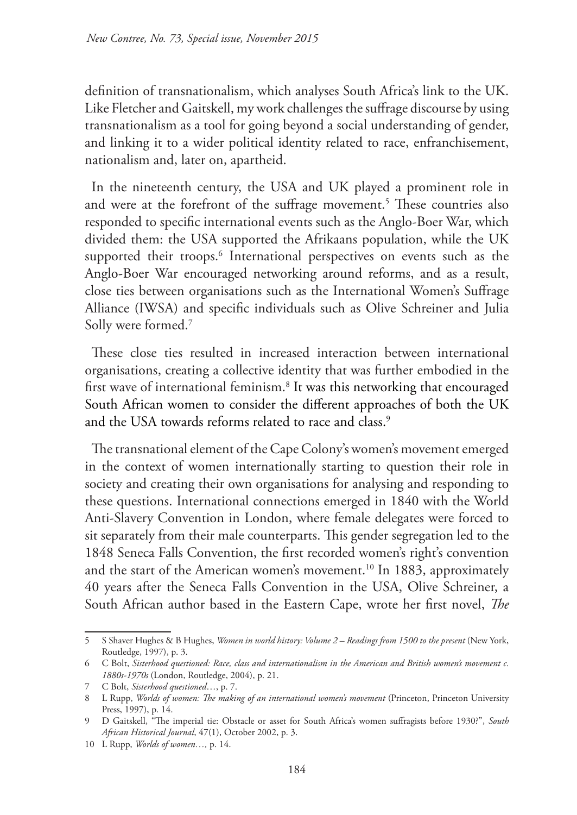definition of transnationalism, which analyses South Africa's link to the UK. Like Fletcher and Gaitskell, my work challenges the suffrage discourse by using transnationalism as a tool for going beyond a social understanding of gender, and linking it to a wider political identity related to race, enfranchisement, nationalism and, later on, apartheid.

In the nineteenth century, the USA and UK played a prominent role in and were at the forefront of the suffrage movement.<sup>5</sup> These countries also responded to specific international events such as the Anglo-Boer War, which divided them: the USA supported the Afrikaans population, while the UK supported their troops.<sup>6</sup> International perspectives on events such as the Anglo-Boer War encouraged networking around reforms, and as a result, close ties between organisations such as the International Women's Suffrage Alliance (IWSA) and specific individuals such as Olive Schreiner and Julia Solly were formed.7

These close ties resulted in increased interaction between international organisations, creating a collective identity that was further embodied in the first wave of international feminism.<sup>8</sup> It was this networking that encouraged South African women to consider the different approaches of both the UK and the USA towards reforms related to race and class.<sup>9</sup>

The transnational element of the Cape Colony's women's movement emerged in the context of women internationally starting to question their role in society and creating their own organisations for analysing and responding to these questions. International connections emerged in 1840 with the World Anti-Slavery Convention in London, where female delegates were forced to sit separately from their male counterparts. This gender segregation led to the 1848 Seneca Falls Convention, the first recorded women's right's convention and the start of the American women's movement.<sup>10</sup> In 1883, approximately 40 years after the Seneca Falls Convention in the USA, Olive Schreiner, a South African author based in the Eastern Cape, wrote her first novel, *The* 

<sup>5</sup> S Shaver Hughes & B Hughes, *Women in world history: Volume 2 – Readings from 1500 to the present* (New York, Routledge, 1997), p. 3.

<sup>6</sup> C Bolt, *Sisterhood questioned: Race, class and internationalism in the American and British women's movement c. 1880s-1970s* (London, Routledge, 2004), p. 21.

<sup>7</sup> C Bolt, *Sisterhood questioned*…, p. 7.

<sup>8</sup> L Rupp, *Worlds of women: The making of an international women's movement* (Princeton, Princeton University Press, 1997), p. 14.

<sup>9</sup> D Gaitskell, "The imperial tie: Obstacle or asset for South Africa's women suffragists before 1930?", *South African Historical Journal*, 47(1), October 2002, p. 3.

<sup>10</sup> L Rupp, *Worlds of women…,* p. 14.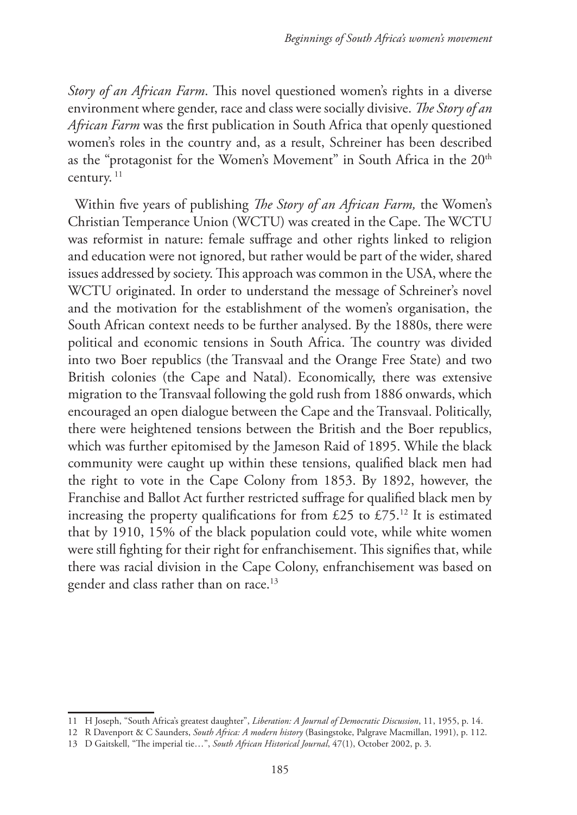*Story of an African Farm*. This novel questioned women's rights in a diverse environment where gender, race and class were socially divisive. *The Story of an African Farm* was the first publication in South Africa that openly questioned women's roles in the country and, as a result, Schreiner has been described as the "protagonist for the Women's Movement" in South Africa in the 20<sup>th</sup> century.<sup>11</sup>

Within five years of publishing *The Story of an African Farm,* the Women's Christian Temperance Union (WCTU) was created in the Cape. The WCTU was reformist in nature: female suffrage and other rights linked to religion and education were not ignored, but rather would be part of the wider, shared issues addressed by society. This approach was common in the USA, where the WCTU originated. In order to understand the message of Schreiner's novel and the motivation for the establishment of the women's organisation, the South African context needs to be further analysed. By the 1880s, there were political and economic tensions in South Africa. The country was divided into two Boer republics (the Transvaal and the Orange Free State) and two British colonies (the Cape and Natal). Economically, there was extensive migration to the Transvaal following the gold rush from 1886 onwards, which encouraged an open dialogue between the Cape and the Transvaal. Politically, there were heightened tensions between the British and the Boer republics, which was further epitomised by the Jameson Raid of 1895. While the black community were caught up within these tensions, qualified black men had the right to vote in the Cape Colony from 1853. By 1892, however, the Franchise and Ballot Act further restricted suffrage for qualified black men by increasing the property qualifications for from £25 to £75.<sup>12</sup> It is estimated that by 1910, 15% of the black population could vote, while white women were still fighting for their right for enfranchisement. This signifies that, while there was racial division in the Cape Colony, enfranchisement was based on gender and class rather than on race.<sup>13</sup>

<sup>11</sup> H Joseph, "South Africa's greatest daughter", *Liberation: A Journal of Democratic Discussion*, 11, 1955, p. 14.

<sup>12</sup> R Davenport & C Saunders, *South Africa: A modern history* (Basingstoke, Palgrave Macmillan, 1991), p. 112.

<sup>13</sup> D Gaitskell, "The imperial tie…", *South African Historical Journal*, 47(1), October 2002, p. 3.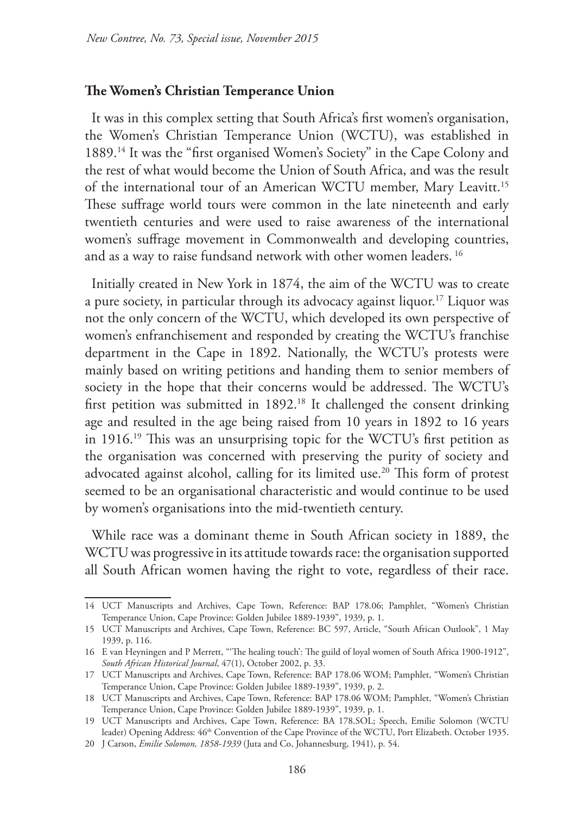#### **The Women's Christian Temperance Union**

It was in this complex setting that South Africa's first women's organisation, the Women's Christian Temperance Union (WCTU), was established in 1889.14 It was the "first organised Women's Society" in the Cape Colony and the rest of what would become the Union of South Africa, and was the result of the international tour of an American WCTU member, Mary Leavitt.15 These suffrage world tours were common in the late nineteenth and early twentieth centuries and were used to raise awareness of the international women's suffrage movement in Commonwealth and developing countries, and as a way to raise fundsand network with other women leaders. 16

Initially created in New York in 1874, the aim of the WCTU was to create a pure society, in particular through its advocacy against liquor.17 Liquor was not the only concern of the WCTU, which developed its own perspective of women's enfranchisement and responded by creating the WCTU's franchise department in the Cape in 1892. Nationally, the WCTU's protests were mainly based on writing petitions and handing them to senior members of society in the hope that their concerns would be addressed. The WCTU's first petition was submitted in 1892.<sup>18</sup> It challenged the consent drinking age and resulted in the age being raised from 10 years in 1892 to 16 years in 1916.19 This was an unsurprising topic for the WCTU's first petition as the organisation was concerned with preserving the purity of society and advocated against alcohol, calling for its limited use.<sup>20</sup> This form of protest seemed to be an organisational characteristic and would continue to be used by women's organisations into the mid-twentieth century.

While race was a dominant theme in South African society in 1889, the WCTU was progressive in its attitude towards race: the organisation supported all South African women having the right to vote, regardless of their race.

<sup>14</sup> UCT Manuscripts and Archives, Cape Town, Reference: BAP 178.06; Pamphlet, "Women's Christian Temperance Union, Cape Province: Golden Jubilee 1889-1939", 1939, p. 1.

<sup>15</sup> UCT Manuscripts and Archives, Cape Town, Reference: BC 597, Article, "South African Outlook", 1 May 1939, p. 116.

<sup>16</sup> E van Heyningen and P Merrett, "'The healing touch': The guild of loyal women of South Africa 1900-1912", *South African Historical Journal*, 47(1), October 2002, p. 33.

<sup>17</sup> UCT Manuscripts and Archives, Cape Town, Reference: BAP 178.06 WOM; Pamphlet, "Women's Christian Temperance Union, Cape Province: Golden Jubilee 1889-1939", 1939, p. 2.

<sup>18</sup> UCT Manuscripts and Archives, Cape Town, Reference: BAP 178.06 WOM; Pamphlet, "Women's Christian Temperance Union, Cape Province: Golden Jubilee 1889-1939", 1939, p. 1.

<sup>19</sup> UCT Manuscripts and Archives, Cape Town, Reference: BA 178.SOL; Speech, Emilie Solomon (WCTU leader) Opening Address: 46<sup>th</sup> Convention of the Cape Province of the WCTU, Port Elizabeth. October 1935.

<sup>20</sup> J Carson, *Emilie Solomon, 1858-1939* (Juta and Co, Johannesburg, 1941), p. 54.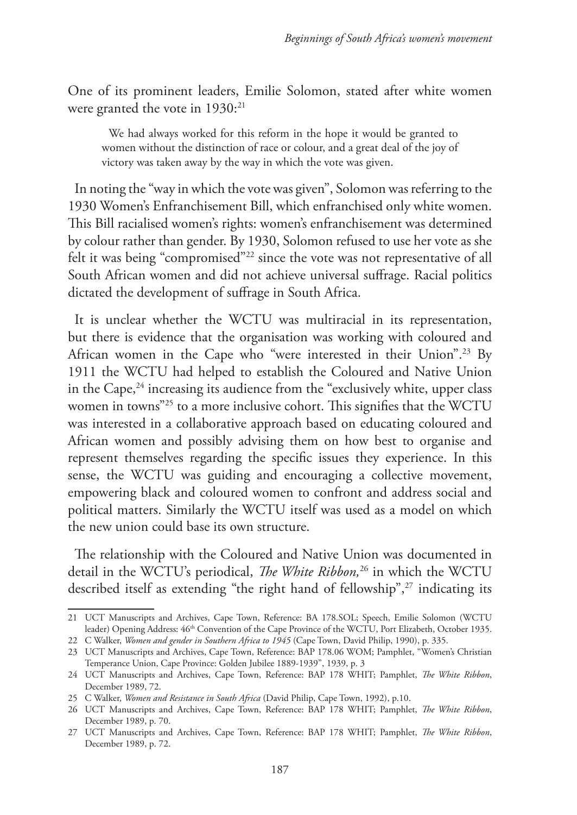One of its prominent leaders, Emilie Solomon, stated after white women were granted the vote in 1930:<sup>21</sup>

We had always worked for this reform in the hope it would be granted to women without the distinction of race or colour, and a great deal of the joy of victory was taken away by the way in which the vote was given.

In noting the "way in which the vote was given", Solomon was referring to the 1930 Women's Enfranchisement Bill, which enfranchised only white women. This Bill racialised women's rights: women's enfranchisement was determined by colour rather than gender. By 1930, Solomon refused to use her vote as she felt it was being "compromised"22 since the vote was not representative of all South African women and did not achieve universal suffrage. Racial politics dictated the development of suffrage in South Africa.

It is unclear whether the WCTU was multiracial in its representation, but there is evidence that the organisation was working with coloured and African women in the Cape who "were interested in their Union".23 By 1911 the WCTU had helped to establish the Coloured and Native Union in the Cape, $24$  increasing its audience from the "exclusively white, upper class" women in towns"25 to a more inclusive cohort. This signifies that the WCTU was interested in a collaborative approach based on educating coloured and African women and possibly advising them on how best to organise and represent themselves regarding the specific issues they experience. In this sense, the WCTU was guiding and encouraging a collective movement, empowering black and coloured women to confront and address social and political matters. Similarly the WCTU itself was used as a model on which the new union could base its own structure.

The relationship with the Coloured and Native Union was documented in detail in the WCTU's periodical, *The White Ribbon,*26 in which the WCTU described itself as extending "the right hand of fellowship",<sup>27</sup> indicating its

<sup>21</sup> UCT Manuscripts and Archives, Cape Town, Reference: BA 178.SOL; Speech, Emilie Solomon (WCTU leader) Opening Address: 46th Convention of the Cape Province of the WCTU, Port Elizabeth, October 1935.

<sup>22</sup> C Walker, *Women and gender in Southern Africa to 1945* (Cape Town, David Philip, 1990), p. 335.

<sup>23</sup> UCT Manuscripts and Archives, Cape Town, Reference: BAP 178.06 WOM; Pamphlet, "Women's Christian Temperance Union, Cape Province: Golden Jubilee 1889-1939", 1939, p. 3

<sup>24</sup> UCT Manuscripts and Archives, Cape Town, Reference: BAP 178 WHIT; Pamphlet, *The White Ribbon*, December 1989, 72.

<sup>25</sup> C Walker, *Women and Resistance in South Africa* (David Philip, Cape Town, 1992), p.10.

<sup>26</sup> UCT Manuscripts and Archives, Cape Town, Reference: BAP 178 WHIT; Pamphlet, *The White Ribbon*, December 1989, p. 70.

<sup>27</sup> UCT Manuscripts and Archives, Cape Town, Reference: BAP 178 WHIT; Pamphlet, *The White Ribbon*, December 1989, p. 72.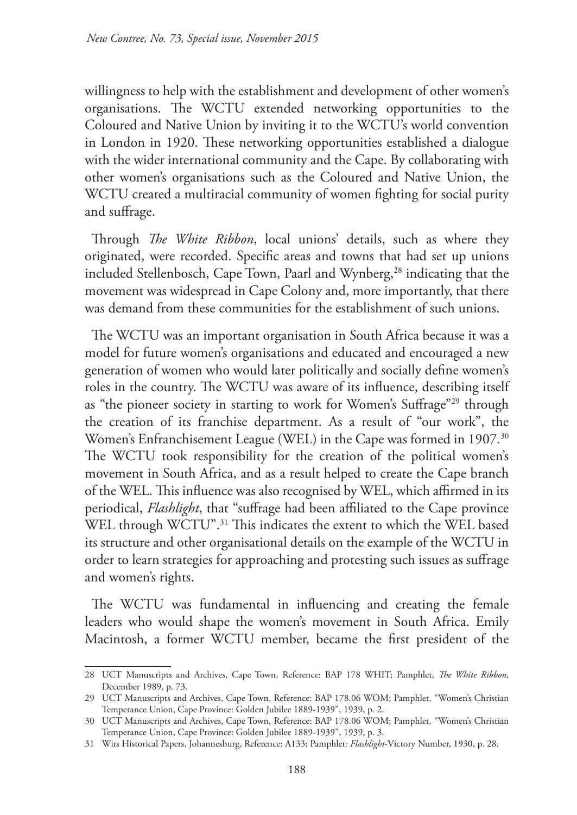willingness to help with the establishment and development of other women's organisations. The WCTU extended networking opportunities to the Coloured and Native Union by inviting it to the WCTU's world convention in London in 1920. These networking opportunities established a dialogue with the wider international community and the Cape. By collaborating with other women's organisations such as the Coloured and Native Union, the WCTU created a multiracial community of women fighting for social purity and suffrage.

Through *The White Ribbon*, local unions' details, such as where they originated, were recorded. Specific areas and towns that had set up unions included Stellenbosch, Cape Town, Paarl and Wynberg,<sup>28</sup> indicating that the movement was widespread in Cape Colony and, more importantly, that there was demand from these communities for the establishment of such unions.

The WCTU was an important organisation in South Africa because it was a model for future women's organisations and educated and encouraged a new generation of women who would later politically and socially define women's roles in the country. The WCTU was aware of its influence, describing itself as "the pioneer society in starting to work for Women's Suffrage"29 through the creation of its franchise department. As a result of "our work", the Women's Enfranchisement League (WEL) in the Cape was formed in 1907.<sup>30</sup> The WCTU took responsibility for the creation of the political women's movement in South Africa, and as a result helped to create the Cape branch of the WEL. This influence was also recognised by WEL, which affirmed in its periodical, *Flashlight*, that "suffrage had been affiliated to the Cape province WEL through WCTU".<sup>31</sup> This indicates the extent to which the WEL based its structure and other organisational details on the example of the WCTU in order to learn strategies for approaching and protesting such issues as suffrage and women's rights.

The WCTU was fundamental in influencing and creating the female leaders who would shape the women's movement in South Africa. Emily Macintosh, a former WCTU member, became the first president of the

<sup>28</sup> UCT Manuscripts and Archives, Cape Town, Reference: BAP 178 WHIT; Pamphlet, *The White Ribbon*, December 1989, p. 73.

<sup>29</sup> UCT Manuscripts and Archives, Cape Town, Reference: BAP 178.06 WOM; Pamphlet, "Women's Christian Temperance Union, Cape Province: Golden Jubilee 1889-1939", 1939, p. 2.

<sup>30</sup> UCT Manuscripts and Archives, Cape Town, Reference: BAP 178.06 WOM; Pamphlet, "Women's Christian Temperance Union, Cape Province: Golden Jubilee 1889-1939", 1939, p. 3.

<sup>31</sup> Wits Historical Papers, Johannesburg, Reference: A133; Pamphlet*: Flashlight*-Victory Number, 1930, p. 28.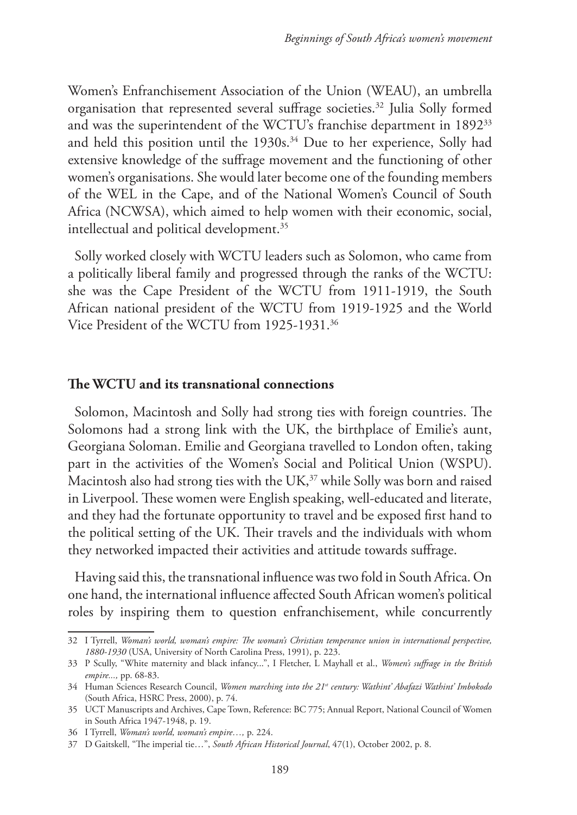Women's Enfranchisement Association of the Union (WEAU), an umbrella organisation that represented several suffrage societies.32 Julia Solly formed and was the superintendent of the WCTU's franchise department in 189233 and held this position until the 1930s.<sup>34</sup> Due to her experience, Solly had extensive knowledge of the suffrage movement and the functioning of other women's organisations. She would later become one of the founding members of the WEL in the Cape, and of the National Women's Council of South Africa (NCWSA), which aimed to help women with their economic, social, intellectual and political development.<sup>35</sup>

Solly worked closely with WCTU leaders such as Solomon, who came from a politically liberal family and progressed through the ranks of the WCTU: she was the Cape President of the WCTU from 1911-1919, the South African national president of the WCTU from 1919-1925 and the World Vice President of the WCTU from 1925-1931.36

#### **The WCTU and its transnational connections**

Solomon, Macintosh and Solly had strong ties with foreign countries. The Solomons had a strong link with the UK, the birthplace of Emilie's aunt, Georgiana Soloman. Emilie and Georgiana travelled to London often, taking part in the activities of the Women's Social and Political Union (WSPU). Macintosh also had strong ties with the UK,<sup>37</sup> while Solly was born and raised in Liverpool. These women were English speaking, well-educated and literate, and they had the fortunate opportunity to travel and be exposed first hand to the political setting of the UK. Their travels and the individuals with whom they networked impacted their activities and attitude towards suffrage.

Having said this, the transnational influence was two fold in South Africa. On one hand, the international influence affected South African women's political roles by inspiring them to question enfranchisement, while concurrently

<sup>32</sup> I Tyrrell, *Woman's world, woman's empire: The woman's Christian temperance union in international perspective, 1880-1930* (USA, University of North Carolina Press, 1991), p. 223.

<sup>33</sup> P Scully, "White maternity and black infancy...", I Fletcher, L Mayhall et al., *Women's suffrage in the British empire...,* pp. 68-83.

<sup>34</sup> Human Sciences Research Council, *Women marching into the 21st century: Wathint' Abafazi Wathint' Imbokodo* (South Africa, HSRC Press, 2000), p. 74.

<sup>35</sup> UCT Manuscripts and Archives, Cape Town, Reference: BC 775; Annual Report, National Council of Women in South Africa 1947-1948, p. 19.

<sup>36</sup> I Tyrrell, *Woman's world, woman's empire…,* p. 224.

<sup>37</sup> D Gaitskell, "The imperial tie…", *South African Historical Journal*, 47(1), October 2002, p. 8.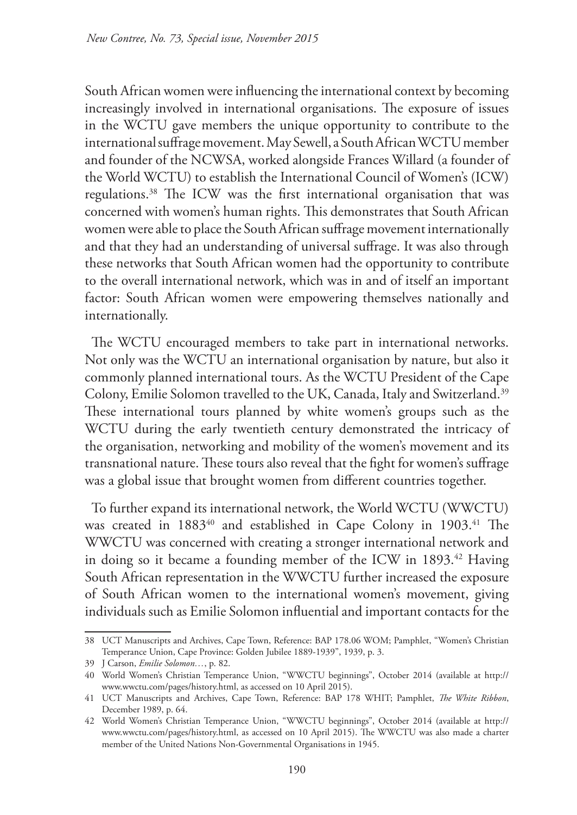South African women were influencing the international context by becoming increasingly involved in international organisations. The exposure of issues in the WCTU gave members the unique opportunity to contribute to the international suffrage movement. May Sewell, a South African WCTU member and founder of the NCWSA, worked alongside Frances Willard (a founder of the World WCTU) to establish the International Council of Women's (ICW) regulations.38 The ICW was the first international organisation that was concerned with women's human rights. This demonstrates that South African women were able to place the South African suffrage movement internationally and that they had an understanding of universal suffrage. It was also through these networks that South African women had the opportunity to contribute to the overall international network, which was in and of itself an important factor: South African women were empowering themselves nationally and internationally.

The WCTU encouraged members to take part in international networks. Not only was the WCTU an international organisation by nature, but also it commonly planned international tours. As the WCTU President of the Cape Colony, Emilie Solomon travelled to the UK, Canada, Italy and Switzerland.<sup>39</sup> These international tours planned by white women's groups such as the WCTU during the early twentieth century demonstrated the intricacy of the organisation, networking and mobility of the women's movement and its transnational nature. These tours also reveal that the fight for women's suffrage was a global issue that brought women from different countries together.

To further expand its international network, the World WCTU (WWCTU) was created in 1883<sup>40</sup> and established in Cape Colony in 1903.<sup>41</sup> The WWCTU was concerned with creating a stronger international network and in doing so it became a founding member of the ICW in 1893.<sup>42</sup> Having South African representation in the WWCTU further increased the exposure of South African women to the international women's movement, giving individuals such as Emilie Solomon influential and important contacts for the

<sup>38</sup> UCT Manuscripts and Archives, Cape Town, Reference: BAP 178.06 WOM; Pamphlet, "Women's Christian Temperance Union, Cape Province: Golden Jubilee 1889-1939", 1939, p. 3.

<sup>39</sup> J Carson, *Emilie Solomon…*, p. 82.

<sup>40</sup> World Women's Christian Temperance Union, "WWCTU beginnings", October 2014 (available at http:// www.wwctu.com/pages/history.html, as accessed on 10 April 2015).

<sup>41</sup> UCT Manuscripts and Archives, Cape Town, Reference: BAP 178 WHIT; Pamphlet, *The White Ribbon*, December 1989, p. 64.

<sup>42</sup> World Women's Christian Temperance Union, "WWCTU beginnings", October 2014 (available at http:// www.wwctu.com/pages/history.html, as accessed on 10 April 2015). The WWCTU was also made a charter member of the United Nations Non-Governmental Organisations in 1945.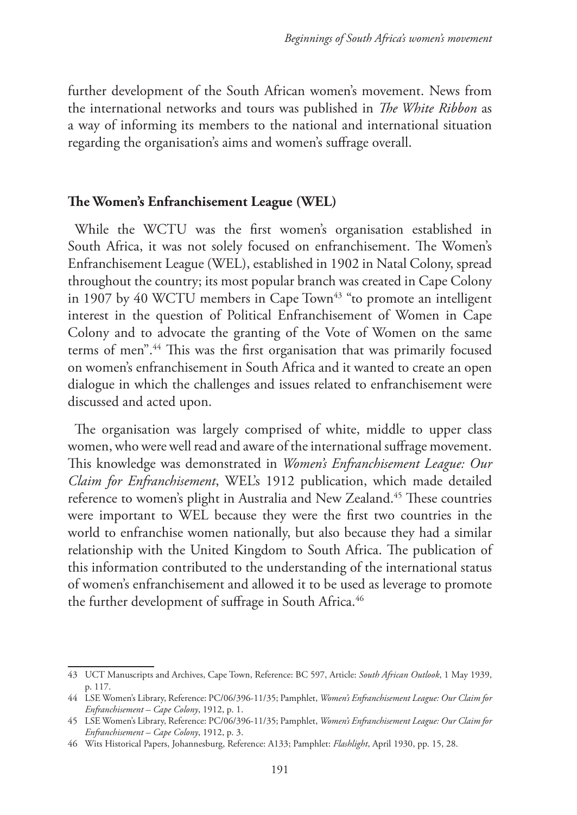further development of the South African women's movement. News from the international networks and tours was published in *The White Ribbon* as a way of informing its members to the national and international situation regarding the organisation's aims and women's suffrage overall.

## **The Women's Enfranchisement League (WEL)**

While the WCTU was the first women's organisation established in South Africa, it was not solely focused on enfranchisement. The Women's Enfranchisement League (WEL), established in 1902 in Natal Colony, spread throughout the country; its most popular branch was created in Cape Colony in 1907 by 40 WCTU members in Cape Town $43$  "to promote an intelligent interest in the question of Political Enfranchisement of Women in Cape Colony and to advocate the granting of the Vote of Women on the same terms of men".<sup>44</sup> This was the first organisation that was primarily focused on women's enfranchisement in South Africa and it wanted to create an open dialogue in which the challenges and issues related to enfranchisement were discussed and acted upon.

The organisation was largely comprised of white, middle to upper class women, who were well read and aware of the international suffrage movement. This knowledge was demonstrated in *Women's Enfranchisement League: Our Claim for Enfranchisement*, WEL's 1912 publication, which made detailed reference to women's plight in Australia and New Zealand.<sup>45</sup> These countries were important to WEL because they were the first two countries in the world to enfranchise women nationally, but also because they had a similar relationship with the United Kingdom to South Africa. The publication of this information contributed to the understanding of the international status of women's enfranchisement and allowed it to be used as leverage to promote the further development of suffrage in South Africa.<sup>46</sup>

<sup>43</sup> UCT Manuscripts and Archives, Cape Town, Reference: BC 597, Article: *South African Outlook*, 1 May 1939, p. 117.

<sup>44</sup> LSE Women's Library, Reference: PC/06/396-11/35; Pamphlet, *Women's Enfranchisement League: Our Claim for Enfranchisement – Cape Colony*, 1912, p. 1.

<sup>45</sup> LSE Women's Library, Reference: PC/06/396-11/35; Pamphlet, *Women's Enfranchisement League: Our Claim for Enfranchisement – Cape Colony*, 1912, p. 3.

<sup>46</sup> Wits Historical Papers, Johannesburg, Reference: A133; Pamphlet: *Flashlight*, April 1930, pp. 15, 28.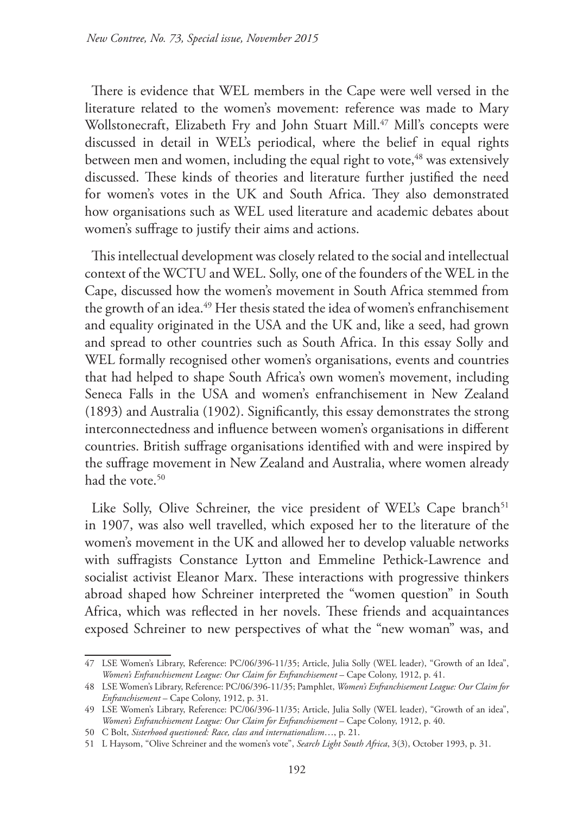There is evidence that WEL members in the Cape were well versed in the literature related to the women's movement: reference was made to Mary Wollstonecraft, Elizabeth Fry and John Stuart Mill.<sup>47</sup> Mill's concepts were discussed in detail in WEL's periodical, where the belief in equal rights between men and women, including the equal right to vote,<sup>48</sup> was extensively discussed. These kinds of theories and literature further justified the need for women's votes in the UK and South Africa. They also demonstrated how organisations such as WEL used literature and academic debates about women's suffrage to justify their aims and actions.

This intellectual development was closely related to the social and intellectual context of the WCTU and WEL. Solly, one of the founders of the WEL in the Cape, discussed how the women's movement in South Africa stemmed from the growth of an idea.<sup>49</sup> Her thesis stated the idea of women's enfranchisement and equality originated in the USA and the UK and, like a seed, had grown and spread to other countries such as South Africa. In this essay Solly and WEL formally recognised other women's organisations, events and countries that had helped to shape South Africa's own women's movement, including Seneca Falls in the USA and women's enfranchisement in New Zealand (1893) and Australia (1902). Significantly, this essay demonstrates the strong interconnectedness and influence between women's organisations in different countries. British suffrage organisations identified with and were inspired by the suffrage movement in New Zealand and Australia, where women already had the vote.<sup>50</sup>

Like Solly, Olive Schreiner, the vice president of WEL's Cape branch<sup>51</sup> in 1907, was also well travelled, which exposed her to the literature of the women's movement in the UK and allowed her to develop valuable networks with suffragists Constance Lytton and Emmeline Pethick-Lawrence and socialist activist Eleanor Marx. These interactions with progressive thinkers abroad shaped how Schreiner interpreted the "women question" in South Africa, which was reflected in her novels. These friends and acquaintances exposed Schreiner to new perspectives of what the "new woman" was, and

<sup>47</sup> LSE Women's Library, Reference: PC/06/396-11/35; Article, Julia Solly (WEL leader), "Growth of an Idea", *Women's Enfranchisement League: Our Claim for Enfranchisement* – Cape Colony, 1912, p. 41.

<sup>48</sup> LSE Women's Library, Reference: PC/06/396-11/35; Pamphlet, *Women's Enfranchisement League: Our Claim for Enfranchisement* – Cape Colony, 1912, p. 31.

<sup>49</sup> LSE Women's Library, Reference: PC/06/396-11/35; Article, Julia Solly (WEL leader), "Growth of an idea", *Women's Enfranchisement League: Our Claim for Enfranchisement* – Cape Colony, 1912, p. 40.

<sup>50</sup> C Bolt, *Sisterhood questioned: Race, class and internationalism*…, p. 21.

<sup>51</sup> L Haysom, "Olive Schreiner and the women's vote", *Search Light South Africa*, 3(3), October 1993, p. 31.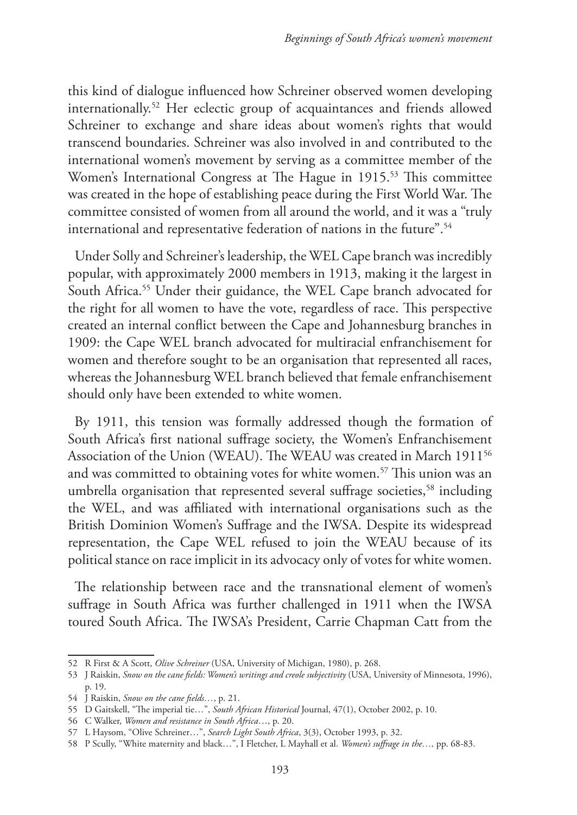this kind of dialogue influenced how Schreiner observed women developing internationally.52 Her eclectic group of acquaintances and friends allowed Schreiner to exchange and share ideas about women's rights that would transcend boundaries. Schreiner was also involved in and contributed to the international women's movement by serving as a committee member of the Women's International Congress at The Hague in 1915.<sup>53</sup> This committee was created in the hope of establishing peace during the First World War. The committee consisted of women from all around the world, and it was a "truly international and representative federation of nations in the future".<sup>54</sup>

Under Solly and Schreiner's leadership, the WEL Cape branch was incredibly popular, with approximately 2000 members in 1913, making it the largest in South Africa.<sup>55</sup> Under their guidance, the WEL Cape branch advocated for the right for all women to have the vote, regardless of race. This perspective created an internal conflict between the Cape and Johannesburg branches in 1909: the Cape WEL branch advocated for multiracial enfranchisement for women and therefore sought to be an organisation that represented all races, whereas the Johannesburg WEL branch believed that female enfranchisement should only have been extended to white women.

By 1911, this tension was formally addressed though the formation of South Africa's first national suffrage society, the Women's Enfranchisement Association of the Union (WEAU). The WEAU was created in March 1911<sup>56</sup> and was committed to obtaining votes for white women.<sup>57</sup> This union was an umbrella organisation that represented several suffrage societies,<sup>58</sup> including the WEL, and was affiliated with international organisations such as the British Dominion Women's Suffrage and the IWSA. Despite its widespread representation, the Cape WEL refused to join the WEAU because of its political stance on race implicit in its advocacy only of votes for white women.

The relationship between race and the transnational element of women's suffrage in South Africa was further challenged in 1911 when the IWSA toured South Africa. The IWSA's President, Carrie Chapman Catt from the

<sup>52</sup> R First & A Scott, *Olive Schreiner* (USA, University of Michigan, 1980), p. 268.

<sup>53</sup> J Raiskin, *Snow on the cane fields: Women's writings and creole subjectivity* (USA, University of Minnesota, 1996), p. 19.

<sup>54</sup> J Raiskin, *Snow on the cane fields…*, p. 21.

<sup>55</sup> D Gaitskell, "The imperial tie…", *South African Historical* Journal, 47(1), October 2002, p. 10.

<sup>56</sup> C Walker, *Women and resistance in South Africa*…, p. 20.

<sup>57</sup> L Haysom, "Olive Schreiner…", *Search Light South Africa*, 3(3), October 1993, p. 32.

<sup>58</sup> P Scully, "White maternity and black…", I Fletcher, L Mayhall et al. *Women's suffrage in the…,* pp. 68-83.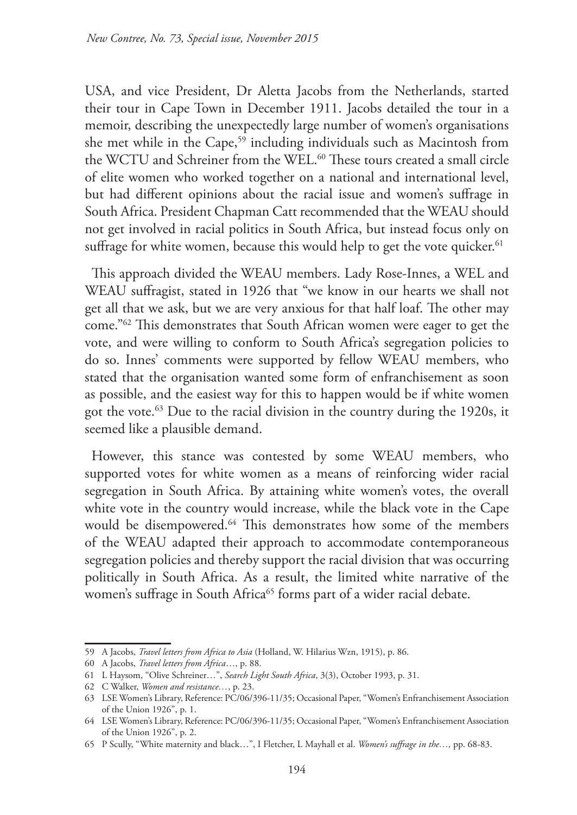USA, and vice President, Dr Aletta Jacobs from the Netherlands, started their tour in Cape Town in December 1911. Jacobs detailed the tour in a memoir, describing the unexpectedly large number of women's organisations she met while in the Cape,<sup>59</sup> including individuals such as Macintosh from the WCTU and Schreiner from the WEL.<sup>60</sup> These tours created a small circle of elite women who worked together on a national and international level, but had different opinions about the racial issue and women's suffrage in South Africa. President Chapman Catt recommended that the WEAU should not get involved in racial politics in South Africa, but instead focus only on suffrage for white women, because this would help to get the vote quicker.<sup>61</sup>

This approach divided the WEAU members. Lady Rose-Innes, a WEL and WEAU suffragist, stated in 1926 that "we know in our hearts we shall not get all that we ask, but we are very anxious for that half loaf. The other may come."62 This demonstrates that South African women were eager to get the vote, and were willing to conform to South Africa's segregation policies to do so. Innes' comments were supported by fellow WEAU members, who stated that the organisation wanted some form of enfranchisement as soon as possible, and the easiest way for this to happen would be if white women got the vote.63 Due to the racial division in the country during the 1920s, it seemed like a plausible demand.

However, this stance was contested by some WEAU members, who supported votes for white women as a means of reinforcing wider racial segregation in South Africa. By attaining white women's votes, the overall white vote in the country would increase, while the black vote in the Cape would be disempowered.<sup>64</sup> This demonstrates how some of the members of the WEAU adapted their approach to accommodate contemporaneous segregation policies and thereby support the racial division that was occurring politically in South Africa. As a result, the limited white narrative of the women's suffrage in South Africa<sup>65</sup> forms part of a wider racial debate.

<sup>59</sup> A Jacobs, *Travel letters from Africa to Asia* (Holland, W. Hilarius Wzn, 1915), p. 86.

<sup>60</sup> A Jacobs, *Travel letters from Africa*…, p. 88.

<sup>61</sup> L Haysom, "Olive Schreiner…", *Search Light South Africa*, 3(3), October 1993, p. 31.

<sup>62</sup> C Walker, *Women and resistance…*, p. 23.

<sup>63</sup> LSE Women's Library, Reference: PC/06/396-11/35; Occasional Paper, "Women's Enfranchisement Association of the Union 1926", p. 1.

<sup>64</sup> LSE Women's Library, Reference: PC/06/396-11/35; Occasional Paper, "Women's Enfranchisement Association of the Union 1926", p. 2.

<sup>65</sup> P Scully, "White maternity and black…", I Fletcher, L Mayhall et al. *Women's suffrage in the…,* pp. 68-83.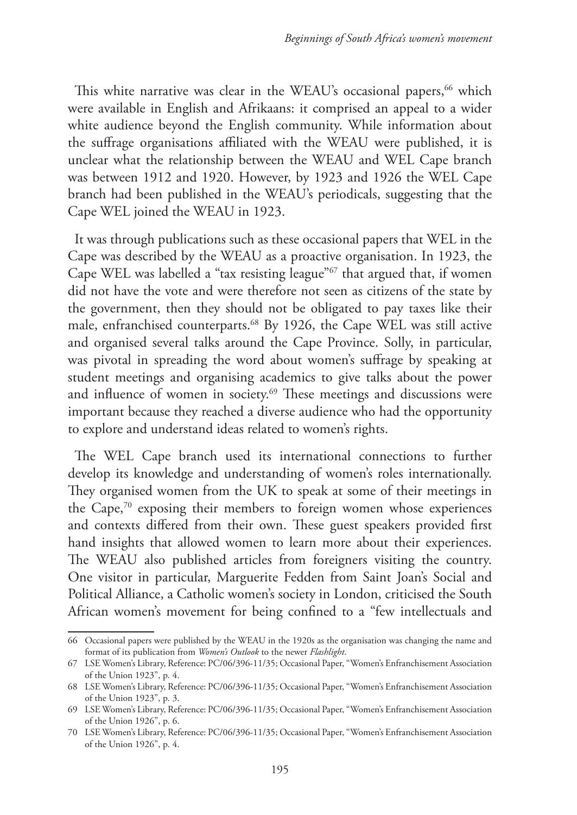This white narrative was clear in the WEAU's occasional papers,<sup>66</sup> which were available in English and Afrikaans: it comprised an appeal to a wider white audience beyond the English community. While information about the suffrage organisations affiliated with the WEAU were published, it is unclear what the relationship between the WEAU and WEL Cape branch was between 1912 and 1920. However, by 1923 and 1926 the WEL Cape branch had been published in the WEAU's periodicals, suggesting that the Cape WEL joined the WEAU in 1923.

It was through publications such as these occasional papers that WEL in the Cape was described by the WEAU as a proactive organisation. In 1923, the Cape WEL was labelled a "tax resisting league"67 that argued that, if women did not have the vote and were therefore not seen as citizens of the state by the government, then they should not be obligated to pay taxes like their male, enfranchised counterparts.68 By 1926, the Cape WEL was still active and organised several talks around the Cape Province. Solly, in particular, was pivotal in spreading the word about women's suffrage by speaking at student meetings and organising academics to give talks about the power and influence of women in society.<sup>69</sup> These meetings and discussions were important because they reached a diverse audience who had the opportunity to explore and understand ideas related to women's rights.

The WEL Cape branch used its international connections to further develop its knowledge and understanding of women's roles internationally. They organised women from the UK to speak at some of their meetings in the Cape,70 exposing their members to foreign women whose experiences and contexts differed from their own. These guest speakers provided first hand insights that allowed women to learn more about their experiences. The WEAU also published articles from foreigners visiting the country. One visitor in particular, Marguerite Fedden from Saint Joan's Social and Political Alliance, a Catholic women's society in London, criticised the South African women's movement for being confined to a "few intellectuals and

<sup>66</sup> Occasional papers were published by the WEAU in the 1920s as the organisation was changing the name and format of its publication from *Women's Outlook* to the newer *Flashlight*.

<sup>67</sup> LSE Women's Library, Reference: PC/06/396-11/35; Occasional Paper, "Women's Enfranchisement Association of the Union 1923", p. 4.

<sup>68</sup> LSE Women's Library, Reference: PC/06/396-11/35; Occasional Paper, "Women's Enfranchisement Association of the Union 1923", p. 3.

<sup>69</sup> LSE Women's Library, Reference: PC/06/396-11/35; Occasional Paper, "Women's Enfranchisement Association of the Union 1926", p. 6.

<sup>70</sup> LSE Women's Library, Reference: PC/06/396-11/35; Occasional Paper, "Women's Enfranchisement Association of the Union 1926", p. 4.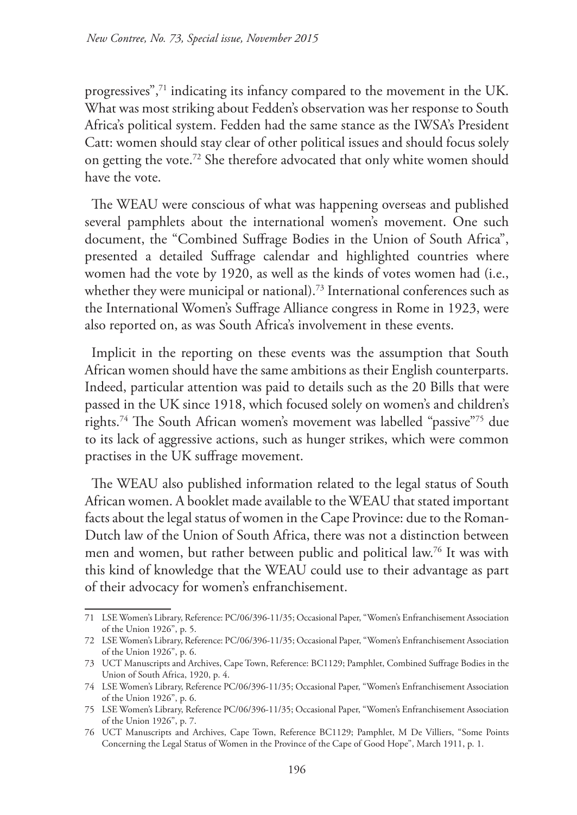progressives",71 indicating its infancy compared to the movement in the UK. What was most striking about Fedden's observation was her response to South Africa's political system. Fedden had the same stance as the IWSA's President Catt: women should stay clear of other political issues and should focus solely on getting the vote.72 She therefore advocated that only white women should have the vote.

The WEAU were conscious of what was happening overseas and published several pamphlets about the international women's movement. One such document, the "Combined Suffrage Bodies in the Union of South Africa", presented a detailed Suffrage calendar and highlighted countries where women had the vote by 1920, as well as the kinds of votes women had (i.e., whether they were municipal or national).<sup>73</sup> International conferences such as the International Women's Suffrage Alliance congress in Rome in 1923, were also reported on, as was South Africa's involvement in these events.

Implicit in the reporting on these events was the assumption that South African women should have the same ambitions as their English counterparts. Indeed, particular attention was paid to details such as the 20 Bills that were passed in the UK since 1918, which focused solely on women's and children's rights.74 The South African women's movement was labelled "passive"75 due to its lack of aggressive actions, such as hunger strikes, which were common practises in the UK suffrage movement.

The WEAU also published information related to the legal status of South African women. A booklet made available to the WEAU that stated important facts about the legal status of women in the Cape Province: due to the Roman-Dutch law of the Union of South Africa, there was not a distinction between men and women, but rather between public and political law.76 It was with this kind of knowledge that the WEAU could use to their advantage as part of their advocacy for women's enfranchisement.

<sup>71</sup> LSE Women's Library, Reference: PC/06/396-11/35; Occasional Paper, "Women's Enfranchisement Association of the Union 1926", p. 5.

<sup>72</sup> LSE Women's Library, Reference: PC/06/396-11/35; Occasional Paper, "Women's Enfranchisement Association of the Union 1926", p. 6.

<sup>73</sup> UCT Manuscripts and Archives, Cape Town, Reference: BC1129; Pamphlet, Combined Suffrage Bodies in the Union of South Africa, 1920, p. 4.

<sup>74</sup> LSE Women's Library, Reference PC/06/396-11/35; Occasional Paper, "Women's Enfranchisement Association of the Union 1926", p. 6.

<sup>75</sup> LSE Women's Library, Reference PC/06/396-11/35; Occasional Paper, "Women's Enfranchisement Association of the Union 1926", p. 7.

<sup>76</sup> UCT Manuscripts and Archives, Cape Town, Reference BC1129; Pamphlet, M De Villiers, "Some Points Concerning the Legal Status of Women in the Province of the Cape of Good Hope", March 1911, p. 1.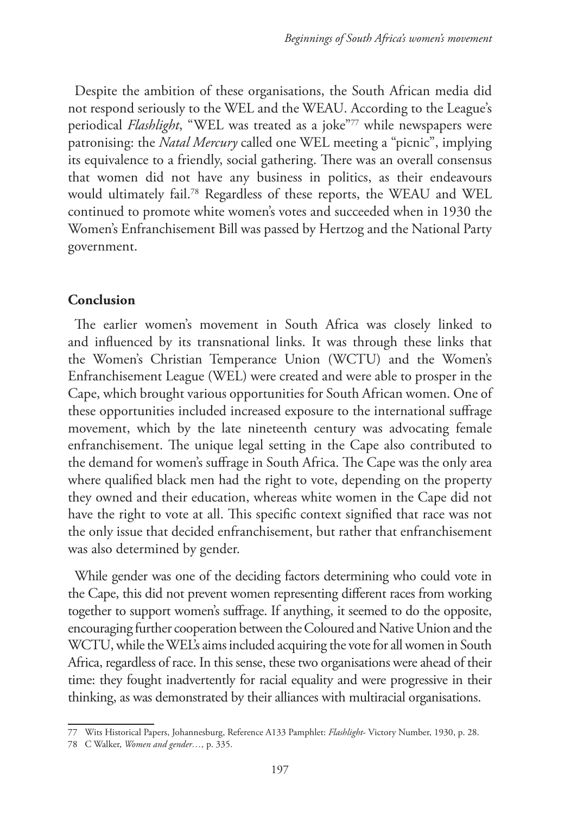Despite the ambition of these organisations, the South African media did not respond seriously to the WEL and the WEAU. According to the League's periodical *Flashlight*, "WEL was treated as a joke"77 while newspapers were patronising: the *Natal Mercury* called one WEL meeting a "picnic", implying its equivalence to a friendly, social gathering. There was an overall consensus that women did not have any business in politics, as their endeavours would ultimately fail.78 Regardless of these reports, the WEAU and WEL continued to promote white women's votes and succeeded when in 1930 the Women's Enfranchisement Bill was passed by Hertzog and the National Party government.

# **Conclusion**

The earlier women's movement in South Africa was closely linked to and influenced by its transnational links. It was through these links that the Women's Christian Temperance Union (WCTU) and the Women's Enfranchisement League (WEL) were created and were able to prosper in the Cape, which brought various opportunities for South African women. One of these opportunities included increased exposure to the international suffrage movement, which by the late nineteenth century was advocating female enfranchisement. The unique legal setting in the Cape also contributed to the demand for women's suffrage in South Africa. The Cape was the only area where qualified black men had the right to vote, depending on the property they owned and their education, whereas white women in the Cape did not have the right to vote at all. This specific context signified that race was not the only issue that decided enfranchisement, but rather that enfranchisement was also determined by gender.

While gender was one of the deciding factors determining who could vote in the Cape, this did not prevent women representing different races from working together to support women's suffrage. If anything, it seemed to do the opposite, encouraging further cooperation between the Coloured and Native Union and the WCTU, while the WEL's aims included acquiring the vote for all women in South Africa, regardless of race. In this sense, these two organisations were ahead of their time: they fought inadvertently for racial equality and were progressive in their thinking, as was demonstrated by their alliances with multiracial organisations.

<sup>77</sup> Wits Historical Papers, Johannesburg, Reference A133 Pamphlet: *Flashlight*- Victory Number, 1930, p. 28.

<sup>78</sup> C Walker, *Women and gender…,* p. 335.